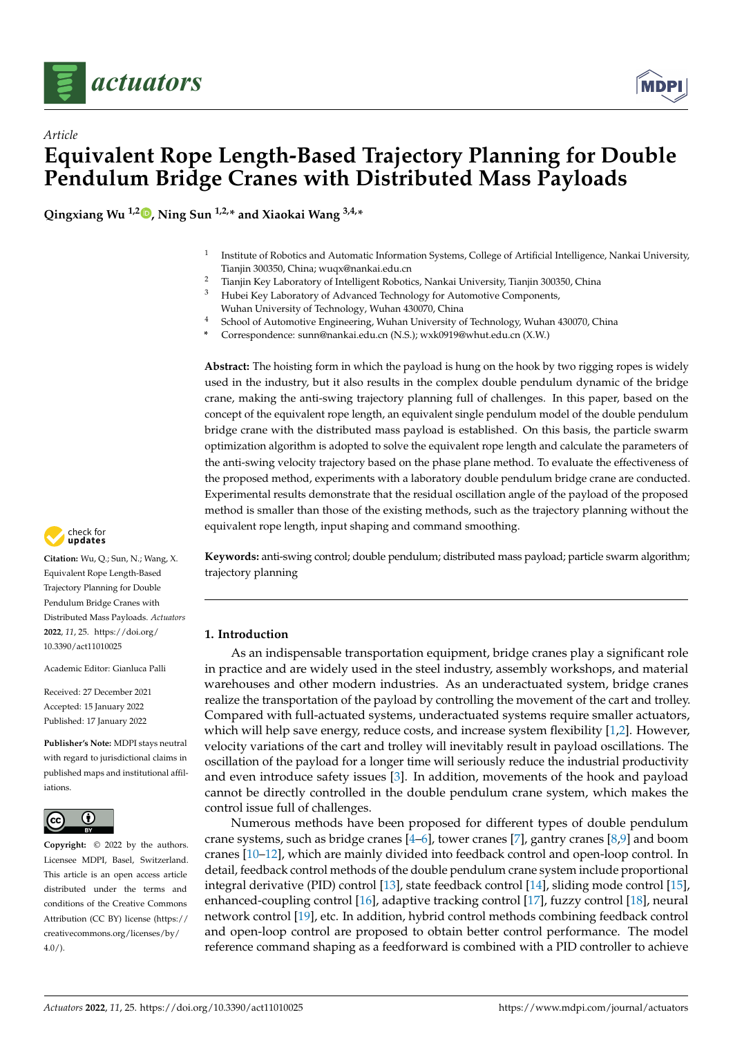

*Article*



# **Equivalent Rope Length-Based Trajectory Planning for Double Pendulum Bridge Cranes with Distributed Mass Payloads**

**Qingxiang Wu 1,2 [,](https://orcid.org/0000-0002-8810-399X) Ning Sun 1,2,\* and Xiaokai Wang 3,4,\***

- 1 Institute of Robotics and Automatic Information Systems, College of Artificial Intelligence, Nankai University, Tianjin 300350, China; wuqx@nankai.edu.cn
- <sup>2</sup> Tianjin Key Laboratory of Intelligent Robotics, Nankai University, Tianjin 300350, China<br><sup>3</sup> Hubei Key Laboratory of Advanced Technology for Automotive Components
- <sup>3</sup> Hubei Key Laboratory of Advanced Technology for Automotive Components,
- Wuhan University of Technology, Wuhan 430070, China
- <sup>4</sup> School of Automotive Engineering, Wuhan University of Technology, Wuhan 430070, China
- **\*** Correspondence: sunn@nankai.edu.cn (N.S.); wxk0919@whut.edu.cn (X.W.)

**Abstract:** The hoisting form in which the payload is hung on the hook by two rigging ropes is widely used in the industry, but it also results in the complex double pendulum dynamic of the bridge crane, making the anti-swing trajectory planning full of challenges. In this paper, based on the concept of the equivalent rope length, an equivalent single pendulum model of the double pendulum bridge crane with the distributed mass payload is established. On this basis, the particle swarm optimization algorithm is adopted to solve the equivalent rope length and calculate the parameters of the anti-swing velocity trajectory based on the phase plane method. To evaluate the effectiveness of the proposed method, experiments with a laboratory double pendulum bridge crane are conducted. Experimental results demonstrate that the residual oscillation angle of the payload of the proposed method is smaller than those of the existing methods, such as the trajectory planning without the equivalent rope length, input shaping and command smoothing.

**Keywords:** anti-swing control; double pendulum; distributed mass payload; particle swarm algorithm; trajectory planning

# **1. Introduction**

As an indispensable transportation equipment, bridge cranes play a significant role in practice and are widely used in the steel industry, assembly workshops, and material warehouses and other modern industries. As an underactuated system, bridge cranes realize the transportation of the payload by controlling the movement of the cart and trolley. Compared with full-actuated systems, underactuated systems require smaller actuators, which will help save energy, reduce costs, and increase system flexibility [\[1](#page-12-0)[,2\]](#page-12-1). However, velocity variations of the cart and trolley will inevitably result in payload oscillations. The oscillation of the payload for a longer time will seriously reduce the industrial productivity and even introduce safety issues [\[3\]](#page-12-2). In addition, movements of the hook and payload cannot be directly controlled in the double pendulum crane system, which makes the control issue full of challenges.

Numerous methods have been proposed for different types of double pendulum crane systems, such as bridge cranes  $[4-6]$  $[4-6]$ , tower cranes  $[7]$ , gantry cranes  $[8,9]$  $[8,9]$  and boom cranes [\[10](#page-12-8)[–12\]](#page-12-9), which are mainly divided into feedback control and open-loop control. In detail, feedback control methods of the double pendulum crane system include proportional integral derivative (PID) control [\[13\]](#page-12-10), state feedback control [\[14\]](#page-12-11), sliding mode control [\[15\]](#page-12-12), enhanced-coupling control [\[16\]](#page-12-13), adaptive tracking control [\[17\]](#page-12-14), fuzzy control [\[18\]](#page-12-15), neural network control [\[19\]](#page-12-16), etc. In addition, hybrid control methods combining feedback control and open-loop control are proposed to obtain better control performance. The model reference command shaping as a feedforward is combined with a PID controller to achieve



**Citation:** Wu, Q.; Sun, N.; Wang, X. Equivalent Rope Length-Based Trajectory Planning for Double Pendulum Bridge Cranes with Distributed Mass Payloads. *Actuators* **2022**, *11*, 25. [https://doi.org/](https://doi.org/10.3390/act11010025) [10.3390/act11010025](https://doi.org/10.3390/act11010025)

Academic Editor: Gianluca Palli

Received: 27 December 2021 Accepted: 15 January 2022 Published: 17 January 2022

**Publisher's Note:** MDPI stays neutral with regard to jurisdictional claims in published maps and institutional affiliations.



**Copyright:** © 2022 by the authors. Licensee MDPI, Basel, Switzerland. This article is an open access article distributed under the terms and conditions of the Creative Commons Attribution (CC BY) license [\(https://](https://creativecommons.org/licenses/by/4.0/) [creativecommons.org/licenses/by/](https://creativecommons.org/licenses/by/4.0/)  $4.0/$ ).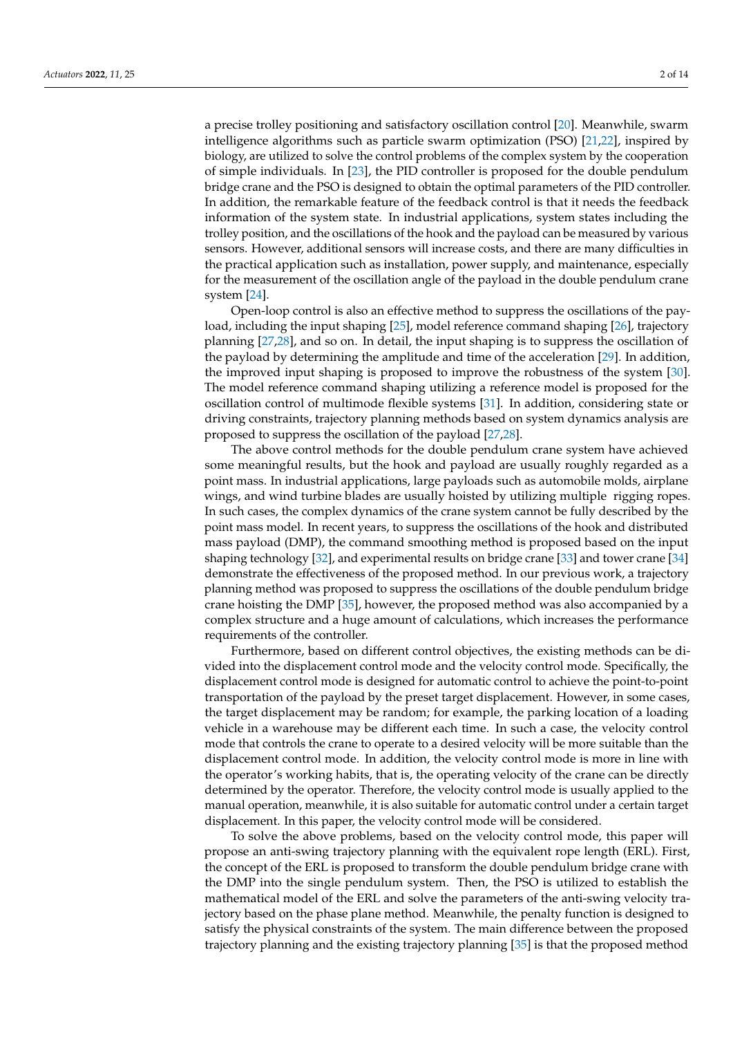a precise trolley positioning and satisfactory oscillation control [\[20\]](#page-12-17). Meanwhile, swarm intelligence algorithms such as particle swarm optimization (PSO) [\[21](#page-13-0)[,22\]](#page-13-1), inspired by biology, are utilized to solve the control problems of the complex system by the cooperation of simple individuals. In [\[23\]](#page-13-2), the PID controller is proposed for the double pendulum bridge crane and the PSO is designed to obtain the optimal parameters of the PID controller. In addition, the remarkable feature of the feedback control is that it needs the feedback information of the system state. In industrial applications, system states including the trolley position, and the oscillations of the hook and the payload can be measured by various sensors. However, additional sensors will increase costs, and there are many difficulties in the practical application such as installation, power supply, and maintenance, especially for the measurement of the oscillation angle of the payload in the double pendulum crane system [\[24\]](#page-13-3).

Open-loop control is also an effective method to suppress the oscillations of the payload, including the input shaping [\[25\]](#page-13-4), model reference command shaping [\[26\]](#page-13-5), trajectory planning [\[27,](#page-13-6)[28\]](#page-13-7), and so on. In detail, the input shaping is to suppress the oscillation of the payload by determining the amplitude and time of the acceleration [\[29\]](#page-13-8). In addition, the improved input shaping is proposed to improve the robustness of the system [\[30\]](#page-13-9). The model reference command shaping utilizing a reference model is proposed for the oscillation control of multimode flexible systems [\[31\]](#page-13-10). In addition, considering state or driving constraints, trajectory planning methods based on system dynamics analysis are proposed to suppress the oscillation of the payload [\[27](#page-13-6)[,28\]](#page-13-7).

The above control methods for the double pendulum crane system have achieved some meaningful results, but the hook and payload are usually roughly regarded as a point mass. In industrial applications, large payloads such as automobile molds, airplane wings, and wind turbine blades are usually hoisted by utilizing multiple rigging ropes. In such cases, the complex dynamics of the crane system cannot be fully described by the point mass model. In recent years, to suppress the oscillations of the hook and distributed mass payload (DMP), the command smoothing method is proposed based on the input shaping technology [\[32\]](#page-13-11), and experimental results on bridge crane [\[33\]](#page-13-12) and tower crane [\[34\]](#page-13-13) demonstrate the effectiveness of the proposed method. In our previous work, a trajectory planning method was proposed to suppress the oscillations of the double pendulum bridge crane hoisting the DMP [\[35\]](#page-13-14), however, the proposed method was also accompanied by a complex structure and a huge amount of calculations, which increases the performance requirements of the controller.

Furthermore, based on different control objectives, the existing methods can be divided into the displacement control mode and the velocity control mode. Specifically, the displacement control mode is designed for automatic control to achieve the point-to-point transportation of the payload by the preset target displacement. However, in some cases, the target displacement may be random; for example, the parking location of a loading vehicle in a warehouse may be different each time. In such a case, the velocity control mode that controls the crane to operate to a desired velocity will be more suitable than the displacement control mode. In addition, the velocity control mode is more in line with the operator's working habits, that is, the operating velocity of the crane can be directly determined by the operator. Therefore, the velocity control mode is usually applied to the manual operation, meanwhile, it is also suitable for automatic control under a certain target displacement. In this paper, the velocity control mode will be considered.

To solve the above problems, based on the velocity control mode, this paper will propose an anti-swing trajectory planning with the equivalent rope length (ERL). First, the concept of the ERL is proposed to transform the double pendulum bridge crane with the DMP into the single pendulum system. Then, the PSO is utilized to establish the mathematical model of the ERL and solve the parameters of the anti-swing velocity trajectory based on the phase plane method. Meanwhile, the penalty function is designed to satisfy the physical constraints of the system. The main difference between the proposed trajectory planning and the existing trajectory planning [\[35\]](#page-13-14) is that the proposed method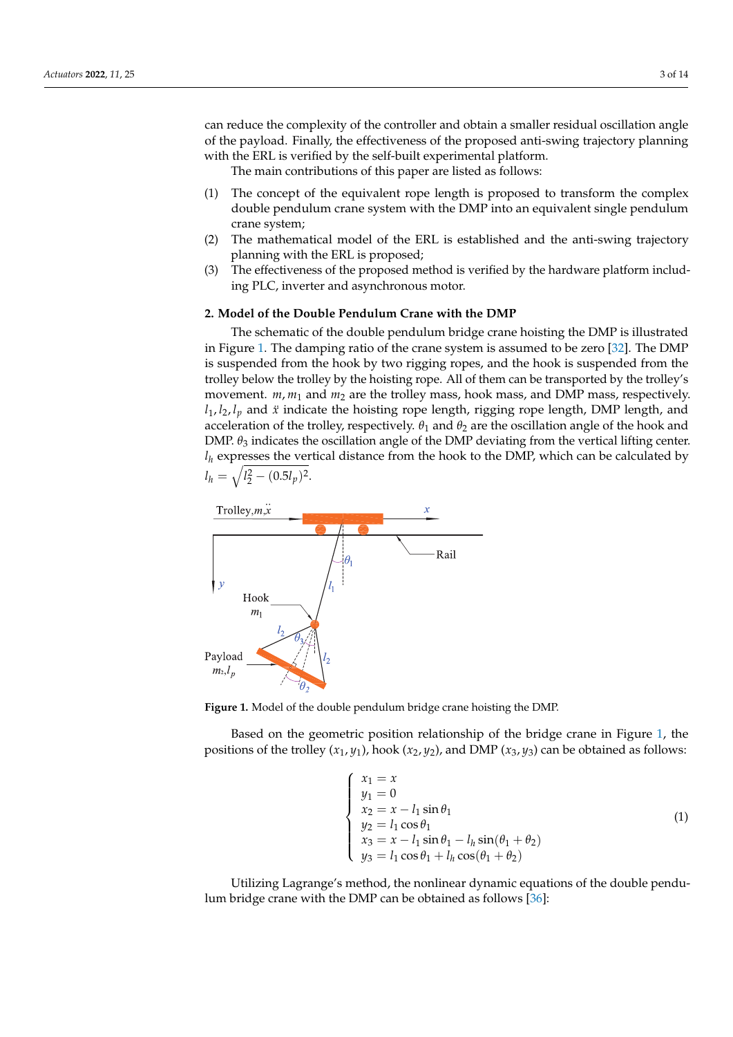can reduce the complexity of the controller and obtain a smaller residual oscillation angle of the payload. Finally, the effectiveness of the proposed anti-swing trajectory planning with the ERL is verified by the self-built experimental platform.

The main contributions of this paper are listed as follows:

- (1) The concept of the equivalent rope length is proposed to transform the complex double pendulum crane system with the DMP into an equivalent single pendulum crane system;
- (2) The mathematical model of the ERL is established and the anti-swing trajectory planning with the ERL is proposed;
- (3) The effectiveness of the proposed method is verified by the hardware platform including PLC, inverter and asynchronous motor.

#### **2. Model of the Double Pendulum Crane with the DMP**

The schematic of the double pendulum bridge crane hoisting the DMP is illustrated in Figure [1.](#page-2-0) The damping ratio of the crane system is assumed to be zero [\[32\]](#page-13-11). The DMP is suspended from the hook by two rigging ropes, and the hook is suspended from the trolley below the trolley by the hoisting rope. All of them can be transported by the trolley's movement.  $m, m_1$  and  $m_2$  are the trolley mass, hook mass, and DMP mass, respectively.  $l_1, l_2, l_p$  and  $\ddot{x}$  indicate the hoisting rope length, rigging rope length, DMP length, and acceleration of the trolley, respectively.  $\theta_1$  and  $\theta_2$  are the oscillation angle of the hook and DMP.  $\theta_3$  indicates the oscillation angle of the DMP deviating from the vertical lifting center.  $l_h$  expresses the vertical distance from the hook to the DMP, which can be calculated by  $l_h = \sqrt{l_2^2 - (0.5l_p)^2}.$ 

<span id="page-2-0"></span>

**Figure 1.** Model of the double pendulum bridge crane hoisting the DMP.

Based on the geometric position relationship of the bridge crane in Figure [1,](#page-2-0) the positions of the trolley  $(x_1, y_1)$ , hook  $(x_2, y_2)$ , and DMP  $(x_3, y_3)$  can be obtained as follows:

$$
\begin{cases}\n x_1 = x \\
y_1 = 0 \\
x_2 = x - l_1 \sin \theta_1 \\
y_2 = l_1 \cos \theta_1 \\
x_3 = x - l_1 \sin \theta_1 - l_h \sin(\theta_1 + \theta_2) \\
y_3 = l_1 \cos \theta_1 + l_h \cos(\theta_1 + \theta_2)\n\end{cases}
$$
\n(1)

Utilizing Lagrange's method, the nonlinear dynamic equations of the double pendulum bridge crane with the DMP can be obtained as follows [\[36\]](#page-13-15):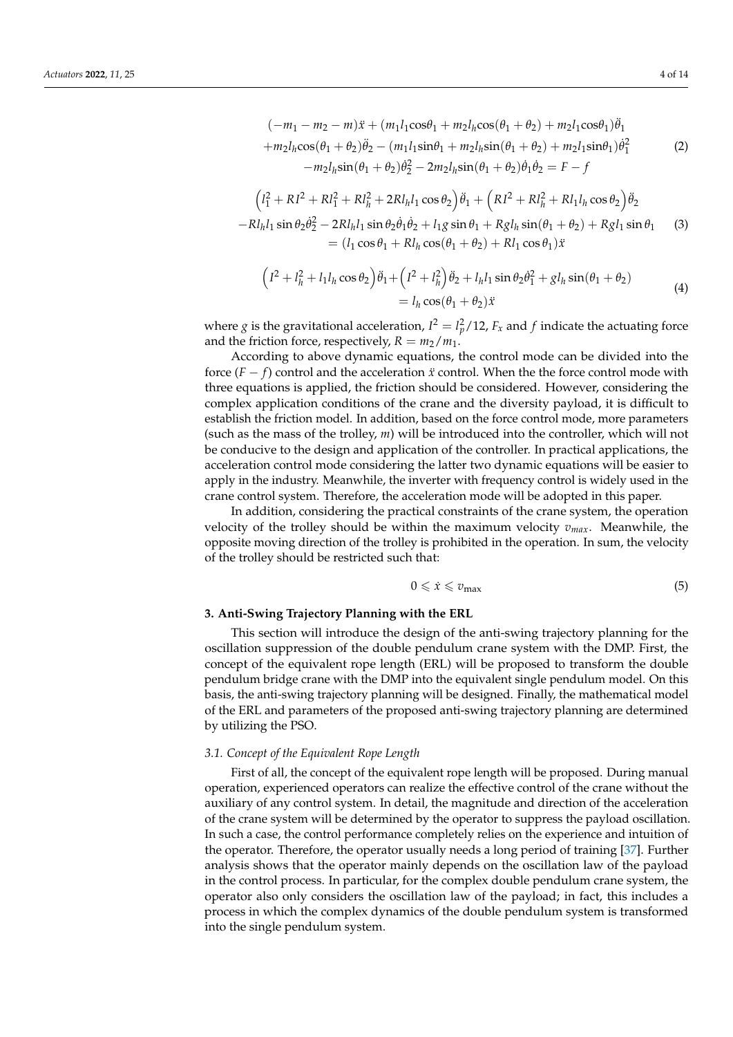$$
(-m_1 - m_2 - m)\ddot{x} + (m_1 l_1 \cos \theta_1 + m_2 l_h \cos (\theta_1 + \theta_2) + m_2 l_1 \cos \theta_1)\ddot{\theta}_1 + m_2 l_h \cos (\theta_1 + \theta_2)\ddot{\theta}_2 - (m_1 l_1 \sin \theta_1 + m_2 l_h \sin (\theta_1 + \theta_2) + m_2 l_1 \sin \theta_1)\dot{\theta}_1^2 - m_2 l_h \sin (\theta_1 + \theta_2)\dot{\theta}_2^2 - 2m_2 l_h \sin (\theta_1 + \theta_2)\dot{\theta}_1\dot{\theta}_2 = F - f
$$
\n(2)

$$
(l_1^2 + RI^2 + RI_1^2 + RI_h^2 + 2RI_hl_1 \cos \theta_2)\ddot{\theta}_1 + (RI^2 + RI_h^2 + RI_hl_h \cos \theta_2)\ddot{\theta}_2 -RI_hl_1 \sin \theta_2 \dot{\theta}_2^2 - 2RI_hl_1 \sin \theta_2 \dot{\theta}_1 \dot{\theta}_2 + l_1g \sin \theta_1 + Rgl_h \sin(\theta_1 + \theta_2) + Rgl_1 \sin \theta_1
$$
 (3)  
=  $(l_1 \cos \theta_1 + RI_h \cos(\theta_1 + \theta_2) + RI_1 \cos \theta_1)\ddot{x}$ 

$$
\left(I^2 + l_h^2 + l_1 l_h \cos \theta_2\right) \ddot{\theta}_1 + \left(I^2 + l_h^2\right) \ddot{\theta}_2 + l_h l_1 \sin \theta_2 \dot{\theta}_1^2 + g l_h \sin(\theta_1 + \theta_2) = l_h \cos(\theta_1 + \theta_2) \ddot{x}
$$
\n(4)

where *g* is the gravitational acceleration,  $I^2 = l_p^2/12$ ,  $F_x$  and  $f$  indicate the actuating force and the friction force, respectively,  $R = m_2/m_1$ .

According to above dynamic equations, the control mode can be divided into the force  $(F - f)$  control and the acceleration *x* control. When the the force control mode with three equations is applied, the friction should be considered. However, considering the complex application conditions of the crane and the diversity payload, it is difficult to establish the friction model. In addition, based on the force control mode, more parameters (such as the mass of the trolley, *m*) will be introduced into the controller, which will not be conducive to the design and application of the controller. In practical applications, the acceleration control mode considering the latter two dynamic equations will be easier to apply in the industry. Meanwhile, the inverter with frequency control is widely used in the crane control system. Therefore, the acceleration mode will be adopted in this paper.

In addition, considering the practical constraints of the crane system, the operation velocity of the trolley should be within the maximum velocity *vmax*. Meanwhile, the opposite moving direction of the trolley is prohibited in the operation. In sum, the velocity of the trolley should be restricted such that:

<span id="page-3-0"></span>
$$
0 \leqslant \dot{x} \leqslant v_{\text{max}} \tag{5}
$$

#### **3. Anti-Swing Trajectory Planning with the ERL**

This section will introduce the design of the anti-swing trajectory planning for the oscillation suppression of the double pendulum crane system with the DMP. First, the concept of the equivalent rope length (ERL) will be proposed to transform the double pendulum bridge crane with the DMP into the equivalent single pendulum model. On this basis, the anti-swing trajectory planning will be designed. Finally, the mathematical model of the ERL and parameters of the proposed anti-swing trajectory planning are determined by utilizing the PSO.

#### *3.1. Concept of the Equivalent Rope Length*

First of all, the concept of the equivalent rope length will be proposed. During manual operation, experienced operators can realize the effective control of the crane without the auxiliary of any control system. In detail, the magnitude and direction of the acceleration of the crane system will be determined by the operator to suppress the payload oscillation. In such a case, the control performance completely relies on the experience and intuition of the operator. Therefore, the operator usually needs a long period of training [\[37\]](#page-13-16). Further analysis shows that the operator mainly depends on the oscillation law of the payload in the control process. In particular, for the complex double pendulum crane system, the operator also only considers the oscillation law of the payload; in fact, this includes a process in which the complex dynamics of the double pendulum system is transformed into the single pendulum system.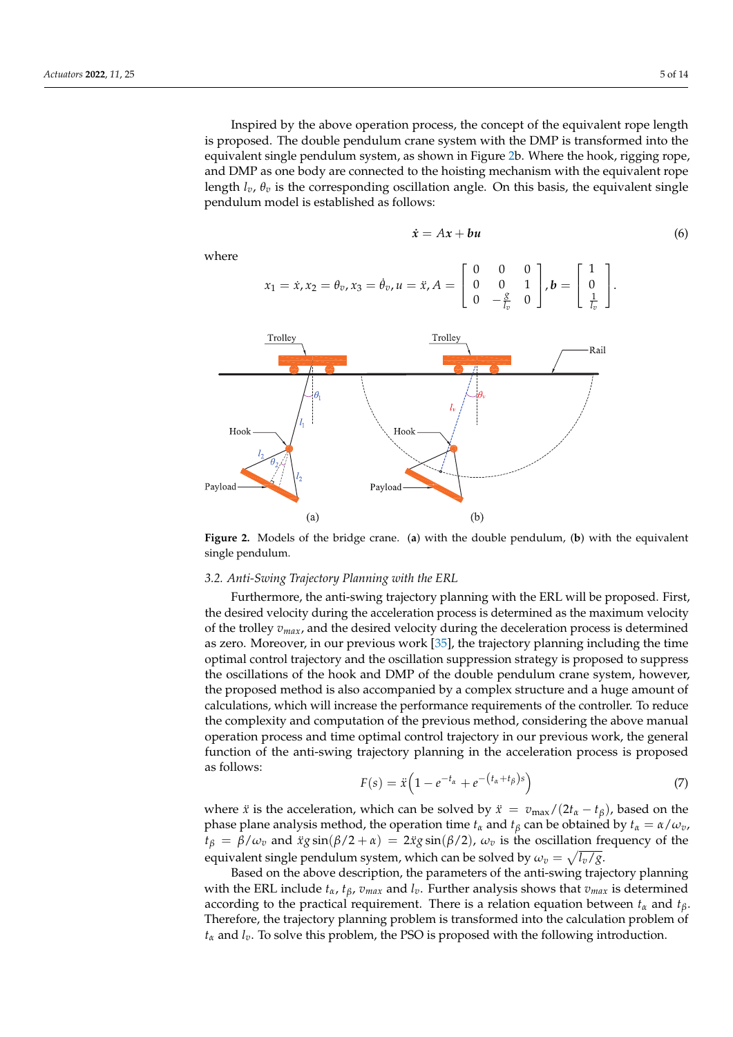Inspired by the above operation process, the concept of the equivalent rope length is proposed. The double pendulum crane system with the DMP is transformed into the equivalent single pendulum system, as shown in Figure [2b](#page-4-0). Where the hook, rigging rope, and DMP as one body are connected to the hoisting mechanism with the equivalent rope length *lv*, *θ<sup>v</sup>* is the corresponding oscillation angle. On this basis, the equivalent single pendulum model is established as follows:

$$
\dot{x} = Ax + bu \tag{6}
$$

where

<span id="page-4-1"></span>
$$
x_1 = \dot{x}, x_2 = \theta_v, x_3 = \dot{\theta}_v, u = \ddot{x}, A = \begin{bmatrix} 0 & 0 & 0 \\ 0 & 0 & 1 \\ 0 & -\frac{g}{l_v} & 0 \end{bmatrix}, b = \begin{bmatrix} 1 \\ 0 \\ \frac{1}{l_v} \end{bmatrix}.
$$

<span id="page-4-0"></span>

**Figure 2.** Models of the bridge crane. (**a**) with the double pendulum, (**b**) with the equivalent single pendulum.

# *3.2. Anti-Swing Trajectory Planning with the ERL*

Furthermore, the anti-swing trajectory planning with the ERL will be proposed. First, the desired velocity during the acceleration process is determined as the maximum velocity of the trolley *vmax*, and the desired velocity during the deceleration process is determined as zero. Moreover, in our previous work [\[35\]](#page-13-14), the trajectory planning including the time optimal control trajectory and the oscillation suppression strategy is proposed to suppress the oscillations of the hook and DMP of the double pendulum crane system, however, the proposed method is also accompanied by a complex structure and a huge amount of calculations, which will increase the performance requirements of the controller. To reduce the complexity and computation of the previous method, considering the above manual operation process and time optimal control trajectory in our previous work, the general function of the anti-swing trajectory planning in the acceleration process is proposed as follows:

$$
F(s) = \ddot{x} \left( 1 - e^{-t_{\alpha}} + e^{-\left(t_{\alpha} + t_{\beta}\right)s} \right) \tag{7}
$$

where *x* is the acceleration, which can be solved by  $\ddot{x} = v_{\text{max}}/(2t_{\alpha} - t_{\beta})$ , based on the phase plane analysis method, the operation time  $t_\alpha$  and  $t_\beta$  can be obtained by  $t_\alpha = \alpha/\omega_v$ ,  $t_\beta = \beta/\omega_v$  and  $\ddot{x}g\sin(\beta/2 + \alpha) = 2\ddot{x}g\sin(\beta/2)$ ,  $\omega_v$  is the oscillation frequency of the equivalent single pendulum system, which can be solved by  $\omega_v = \sqrt{l_v/g}.$ 

Based on the above description, the parameters of the anti-swing trajectory planning with the ERL include  $t_{\alpha}$ ,  $t_{\beta}$ ,  $v_{max}$  and  $l_{v}$ . Further analysis shows that  $v_{max}$  is determined according to the practical requirement. There is a relation equation between  $t_\alpha$  and  $t_\beta$ . Therefore, the trajectory planning problem is transformed into the calculation problem of *t<sup>α</sup>* and *lv*. To solve this problem, the PSO is proposed with the following introduction.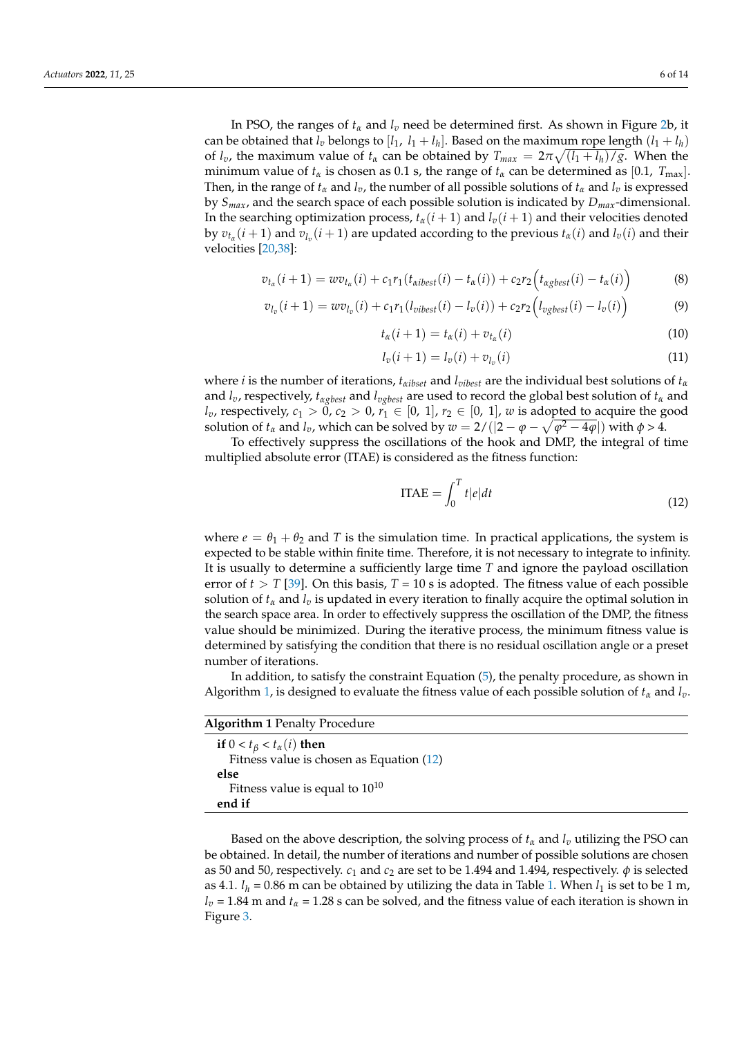In PSO, the ranges of *t<sup>α</sup>* and *l<sup>v</sup>* need be determined first. As shown in Figure [2b](#page-4-0), it can be obtained that  $l_v$  belongs to  $[l_1, l_1 + l_h]$ . Based on the maximum rope length  $(l_1 + l_h)$ of  $l_v$ , the maximum value of  $t_\alpha$  can be obtained by  $T_{max} = 2\pi \sqrt{\frac{(l_1 + l_h)}{g}}$ . When the minimum value of  $t_\alpha$  is chosen as 0.1 s, the range of  $t_\alpha$  can be determined as [0.1,  $T_{\text{max}}$ ]. Then, in the range of  $t_\alpha$  and  $l_\nu$ , the number of all possible solutions of  $t_\alpha$  and  $l_\nu$  is expressed by *Smax*, and the search space of each possible solution is indicated by *Dmax*-dimensional. In the searching optimization process,  $t_\alpha(i+1)$  and  $l_\nu(i+1)$  and their velocities denoted by  $v_{t_\alpha}(i+1)$  and  $v_{l_\nu}(i+1)$  are updated according to the previous  $t_\alpha(i)$  and  $l_\nu(i)$  and their velocities [\[20,](#page-12-17)[38\]](#page-13-17):

$$
v_{t_{\alpha}}(i+1) = w v_{t_{\alpha}}(i) + c_1 r_1(t_{\alpha i best}(i) - t_{\alpha}(i)) + c_2 r_2(t_{\alpha g best}(i) - t_{\alpha}(i))
$$
\n(8)

$$
v_{l_v}(i+1) = w v_{l_v}(i) + c_1 r_1 (l_{vibest}(i) - l_v(i)) + c_2 r_2 (l_{vgbest}(i) - l_v(i))
$$
\n(9)

$$
t_{\alpha}(i+1) = t_{\alpha}(i) + v_{t_{\alpha}}(i)
$$
\n(10)

$$
l_v(i+1) = l_v(i) + v_{l_v}(i)
$$
\n(11)

where *i* is the number of iterations,  $t_{\alpha}$ *i*<sub>*bset*</sub> and  $l_{\text{vibest}}$  are the individual best solutions of  $t_{\alpha}$ and  $l_v$ , respectively,  $t_{\alpha gbest}$  and  $l_{\alpha gbest}$  are used to record the global best solution of  $t_\alpha$  and *l*<sub>*v*</sub>, respectively,  $c_1 > 0$ ,  $c_2 > 0$ ,  $r_1 \in [0, 1]$ ,  $r_2 \in [0, 1]$ , *w* is adopted to acquire the good solution of  $t_\alpha$  and  $l_v$ , which can be solved by  $w = 2/(|2 - \varphi - \sqrt{\varphi^2 - 4\varphi}|)$  with  $\varphi > 4$ .

To effectively suppress the oscillations of the hook and DMP, the integral of time multiplied absolute error (ITAE) is considered as the fitness function:

<span id="page-5-1"></span>
$$
ITAE = \int_0^T t|e|dt
$$
 (12)

where  $e = \theta_1 + \theta_2$  and *T* is the simulation time. In practical applications, the system is expected to be stable within finite time. Therefore, it is not necessary to integrate to infinity. It is usually to determine a sufficiently large time *T* and ignore the payload oscillation error of  $t > T$  [\[39\]](#page-13-18). On this basis,  $T = 10$  s is adopted. The fitness value of each possible solution of  $t_\alpha$  and  $l_\nu$  is updated in every iteration to finally acquire the optimal solution in the search space area. In order to effectively suppress the oscillation of the DMP, the fitness value should be minimized. During the iterative process, the minimum fitness value is determined by satisfying the condition that there is no residual oscillation angle or a preset number of iterations.

In addition, to satisfy the constraint Equation [\(5\)](#page-3-0), the penalty procedure, as shown in Algorithm [1,](#page-5-0) is designed to evaluate the fitness value of each possible solution of *t<sup>α</sup>* and *lv*.

<span id="page-5-0"></span>

| <b>Algorithm 1 Penalty Procedure</b>       |  |
|--------------------------------------------|--|
| if $0 < t_{\beta} < t_{\alpha}(i)$ then    |  |
| Fitness value is chosen as Equation $(12)$ |  |
| else                                       |  |
| Fitness value is equal to $10^{10}$        |  |
| end if                                     |  |
|                                            |  |

Based on the above description, the solving process of  $t_\alpha$  and  $l_\nu$  utilizing the PSO can be obtained. In detail, the number of iterations and number of possible solutions are chosen as 50 and 50, respectively.  $c_1$  and  $c_2$  are set to be 1.494 and 1.494, respectively.  $\phi$  is selected as 4.[1.](#page-6-0)  $l_h$  = 0.86 m can be obtained by utilizing the data in Table 1. When  $l_1$  is set to be 1 m,  $l_v$  = 1.84 m and  $t_a$  = 1.28 s can be solved, and the fitness value of each iteration is shown in Figure [3.](#page-6-1)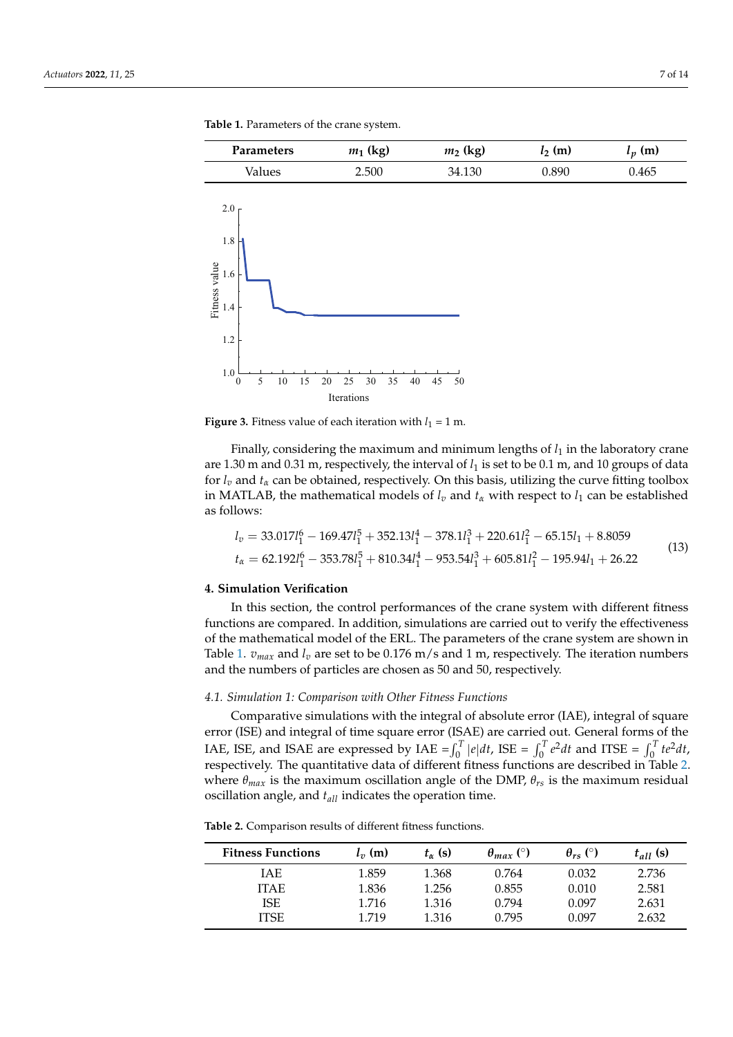<span id="page-6-1"></span>

<span id="page-6-0"></span>**Table 1.** Parameters of the crane system.

**Figure 3.** Fitness value of each iteration with  $l_1 = 1$  m.

Finally, considering the maximum and minimum lengths of *l*<sup>1</sup> in the laboratory crane are 1.30 m and 0.31 m, respectively, the interval of  $l_1$  is set to be 0.1 m, and 10 groups of data for  $l_v$  and  $t_\alpha$  can be obtained, respectively. On this basis, utilizing the curve fitting toolbox in MATLAB, the mathematical models of  $l_v$  and  $t_\alpha$  with respect to  $l_1$  can be established as follows:

<span id="page-6-3"></span>
$$
l_v = 33.017l_1^6 - 169.47l_1^5 + 352.13l_1^4 - 378.1l_1^3 + 220.61l_1^2 - 65.15l_1 + 8.8059
$$
  

$$
t_\alpha = 62.192l_1^6 - 353.78l_1^5 + 810.34l_1^4 - 953.54l_1^3 + 605.81l_1^2 - 195.94l_1 + 26.22
$$
 (13)

# **4. Simulation Verification**

In this section, the control performances of the crane system with different fitness functions are compared. In addition, simulations are carried out to verify the effectiveness of the mathematical model of the ERL. The parameters of the crane system are shown in Table [1.](#page-6-0)  $v_{max}$  and  $l_v$  are set to be 0.176 m/s and 1 m, respectively. The iteration numbers and the numbers of particles are chosen as 50 and 50, respectively.

#### *4.1. Simulation 1: Comparison with Other Fitness Functions*

Comparative simulations with the integral of absolute error (IAE), integral of square error (ISE) and integral of time square error (ISAE) are carried out. General forms of the IAE, ISE, and ISAE are expressed by IAE =  $\int_0^T |e| dt$ , ISE =  $\int_0^T e^2 dt$  and ITSE =  $\int_0^T t e^2 dt$ , respectively. The quantitative data of different fitness functions are described in Table [2.](#page-6-2) where  $\theta_{max}$  is the maximum oscillation angle of the DMP,  $\theta_{rs}$  is the maximum residual oscillation angle, and *tall* indicates the operation time.

<span id="page-6-2"></span>

| <b>Table 2.</b> Comparison results of different fitness functions. |  |  |
|--------------------------------------------------------------------|--|--|
|--------------------------------------------------------------------|--|--|

| <b>Fitness Functions</b> | $l_{\nu}$ (m) | $t_{\alpha}$ (s) | $\theta_{max}$ (°) | $\theta_{rs}$ (°) | $t_{all}$ (s) |
|--------------------------|---------------|------------------|--------------------|-------------------|---------------|
| IAE                      | 1.859         | 1.368            | 0.764              | 0.032             | 2.736         |
| <b>ITAE</b>              | 1.836         | 1.256            | 0.855              | 0.010             | 2.581         |
| <b>ISE</b>               | 1.716         | 1.316            | 0.794              | 0.097             | 2.631         |
| ITSE                     | 1.719         | 1.316            | 0.795              | 0.097             | 2.632         |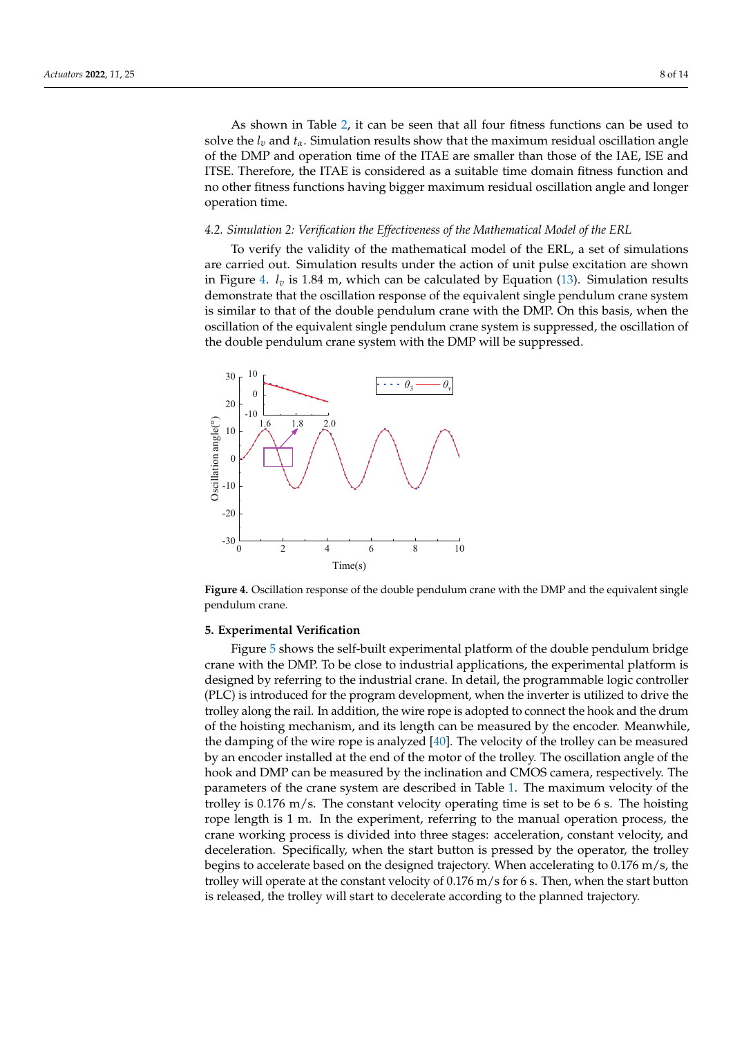As shown in Table [2,](#page-6-2) it can be seen that all four fitness functions can be used to solve the  $l_v$  and  $t_a$ . Simulation results show that the maximum residual oscillation angle of the DMP and operation time of the ITAE are smaller than those of the IAE, ISE and ITSE. Therefore, the ITAE is considered as a suitable time domain fitness function and no other fitness functions having bigger maximum residual oscillation angle and longer operation time.

#### *4.2. Simulation 2: Verification the Effectiveness of the Mathematical Model of the ERL*

To verify the validity of the mathematical model of the ERL, a set of simulations are carried out. Simulation results under the action of unit pulse excitation are shown in Figure [4.](#page-7-0)  $l_v$  is 1.84 m, which can be calculated by Equation  $(13)$ . Simulation results demonstrate that the oscillation response of the equivalent single pendulum crane system is similar to that of the double pendulum crane with the DMP. On this basis, when the oscillation of the equivalent single pendulum crane system is suppressed, the oscillation of the double pendulum crane system with the DMP will be suppressed.

<span id="page-7-0"></span>

**Figure 4.** Oscillation response of the double pendulum crane with the DMP and the equivalent single pendulum crane.

## **5. Experimental Verification**

Figure [5](#page-8-0) shows the self-built experimental platform of the double pendulum bridge crane with the DMP. To be close to industrial applications, the experimental platform is designed by referring to the industrial crane. In detail, the programmable logic controller (PLC) is introduced for the program development, when the inverter is utilized to drive the trolley along the rail. In addition, the wire rope is adopted to connect the hook and the drum of the hoisting mechanism, and its length can be measured by the encoder. Meanwhile, the damping of the wire rope is analyzed  $[40]$ . The velocity of the trolley can be measured by an encoder installed at the end of the motor of the trolley. The oscillation angle of the hook and DMP can be measured by the inclination and CMOS camera, respectively. The parameters of the crane system are described in Table [1.](#page-6-0) The maximum velocity of the trolley is 0.176 m/s. The constant velocity operating time is set to be 6 s. The hoisting rope length is 1 m. In the experiment, referring to the manual operation process, the crane working process is divided into three stages: acceleration, constant velocity, and deceleration. Specifically, when the start button is pressed by the operator, the trolley begins to accelerate based on the designed trajectory. When accelerating to 0.176 m/s, the trolley will operate at the constant velocity of 0.176 m/s for 6 s. Then, when the start button is released, the trolley will start to decelerate according to the planned trajectory.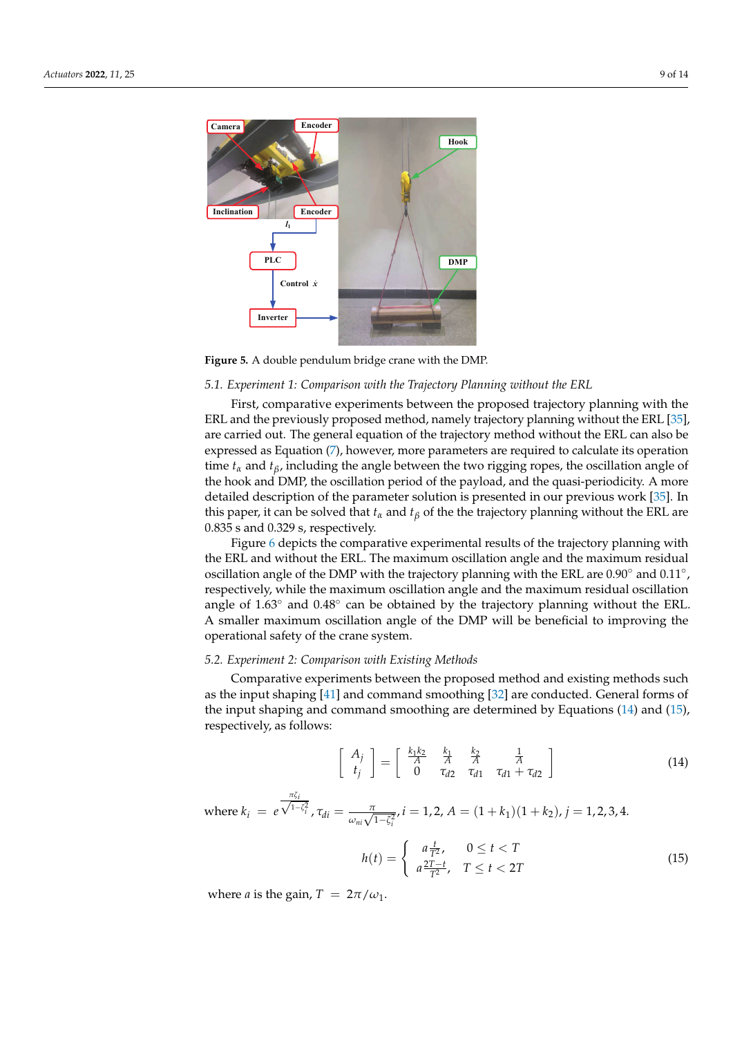<span id="page-8-0"></span>

**Figure 5.** A double pendulum bridge crane with the DMP.

## *5.1. Experiment 1: Comparison with the Trajectory Planning without the ERL*

First, comparative experiments between the proposed trajectory planning with the ERL and the previously proposed method, namely trajectory planning without the ERL [\[35\]](#page-13-14), are carried out. The general equation of the trajectory method without the ERL can also be expressed as Equation [\(7\)](#page-4-1), however, more parameters are required to calculate its operation time  $t_\alpha$  and  $t_\beta$ , including the angle between the two rigging ropes, the oscillation angle of the hook and DMP, the oscillation period of the payload, and the quasi-periodicity. A more detailed description of the parameter solution is presented in our previous work [\[35\]](#page-13-14). In this paper, it can be solved that  $t_\alpha$  and  $t_\beta$  of the the trajectory planning without the ERL are 0.835 s and 0.329 s, respectively.

Figure [6](#page-9-0) depicts the comparative experimental results of the trajectory planning with the ERL and without the ERL. The maximum oscillation angle and the maximum residual oscillation angle of the DMP with the trajectory planning with the ERL are 0.90° and 0.11°, respectively, while the maximum oscillation angle and the maximum residual oscillation angle of  $1.63^\circ$  and  $0.48^\circ$  can be obtained by the trajectory planning without the ERL. A smaller maximum oscillation angle of the DMP will be beneficial to improving the operational safety of the crane system.

#### *5.2. Experiment 2: Comparison with Existing Methods*

Comparative experiments between the proposed method and existing methods such as the input shaping [\[41\]](#page-13-20) and command smoothing [\[32\]](#page-13-11) are conducted. General forms of the input shaping and command smoothing are determined by Equations [\(14\)](#page-8-1) and [\(15\)](#page-8-2), respectively, as follows:

<span id="page-8-1"></span>
$$
\left[\begin{array}{c} A_j \\ t_j \end{array}\right] = \left[\begin{array}{ccc} \frac{k_1 k_2}{A} & \frac{k_1}{A} & \frac{k_2}{A} \\ 0 & \tau_{d2} & \tau_{d1} & \tau_{d1} + \tau_{d2} \end{array}\right] \tag{14}
$$

where 
$$
k_i = e^{\frac{\pi \zeta_i}{\sqrt{1-\zeta_i^2}}}
$$
,  $\tau_{di} = \frac{\pi}{\omega_{ni}\sqrt{1-\zeta_i^2}}$ ,  $i = 1, 2$ ,  $A = (1 + k_1)(1 + k_2)$ ,  $j = 1, 2, 3, 4$ .

<span id="page-8-2"></span>
$$
h(t) = \begin{cases} a\frac{t}{T^2}, & 0 \le t < T \\ a\frac{2T-t}{T^2}, & T \le t < 2T \end{cases}
$$
 (15)

where *a* is the gain,  $T = 2\pi/\omega_1$ .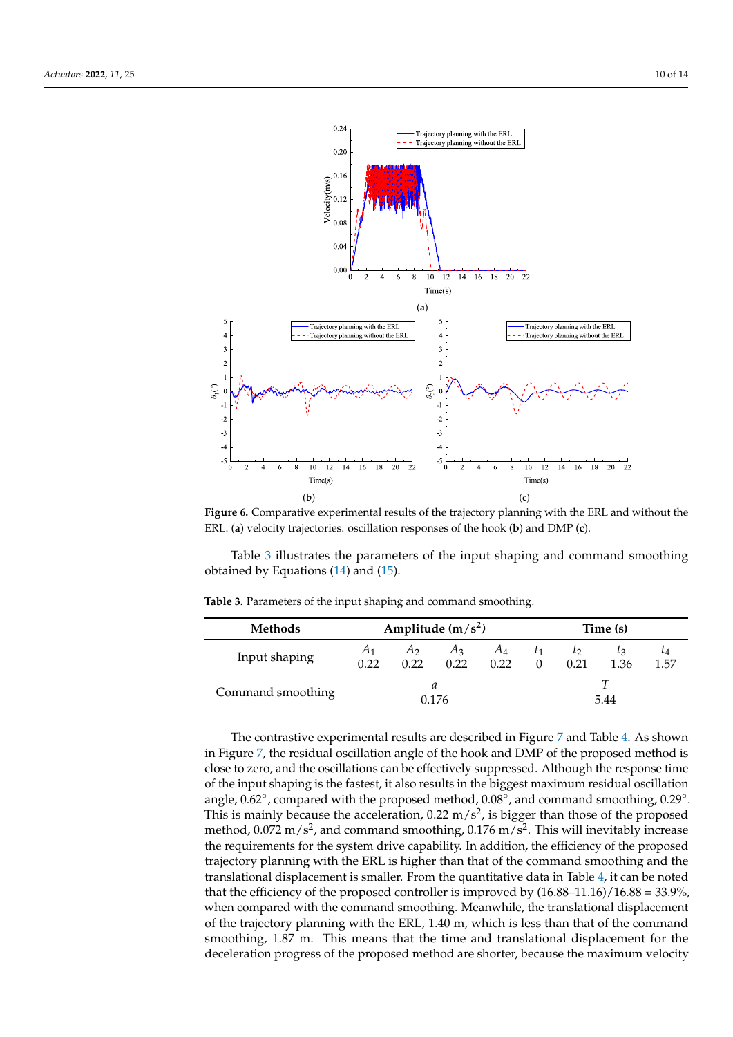<span id="page-9-0"></span>

**Figure 6.** Comparative experimental results of the trajectory planning with the ERL and without the ERL. (**a**) velocity trajectories. oscillation responses of the hook (**b**) and DMP (**c**).

Table [3](#page-9-1) illustrates the parameters of the input shaping and command smoothing obtained by Equations  $(14)$  and  $(15)$ .

| <b>Methods</b>    | Amplitude $(m/s^2)$ |               |               | Time (s)      |    |                |                 |                   |
|-------------------|---------------------|---------------|---------------|---------------|----|----------------|-----------------|-------------------|
| Input shaping     | A1<br>0.22          | $A_2$<br>0.22 | $A_3$<br>0.22 | $A_4$<br>0.22 | T1 | $\tau$<br>0.21 | $I_{3}$<br>1.36 | $\iota_4$<br>1.57 |
| Command smoothing | 0.176               |               |               |               |    | ᅲ<br>5.44      |                 |                   |

<span id="page-9-1"></span>**Table 3.** Parameters of the input shaping and command smoothing.

The contrastive experimental results are described in Figure [7](#page-10-0) and Table [4.](#page-10-1) As shown in Figure [7,](#page-10-0) the residual oscillation angle of the hook and DMP of the proposed method is close to zero, and the oscillations can be effectively suppressed. Although the response time of the input shaping is the fastest, it also results in the biggest maximum residual oscillation angle, 0.62°, compared with the proposed method, 0.08°, and command smoothing, 0.29°. This is mainly because the acceleration, 0.22 m/s<sup>2</sup>, is bigger than those of the proposed method,  $0.072 \text{ m/s}^2$ , and command smoothing,  $0.176 \text{ m/s}^2$ . This will inevitably increase the requirements for the system drive capability. In addition, the efficiency of the proposed trajectory planning with the ERL is higher than that of the command smoothing and the translational displacement is smaller. From the quantitative data in Table [4,](#page-10-1) it can be noted that the efficiency of the proposed controller is improved by (16.88–11.16)/16.88 = 33.9%, when compared with the command smoothing. Meanwhile, the translational displacement of the trajectory planning with the ERL, 1.40 m, which is less than that of the command smoothing, 1.87 m. This means that the time and translational displacement for the deceleration progress of the proposed method are shorter, because the maximum velocity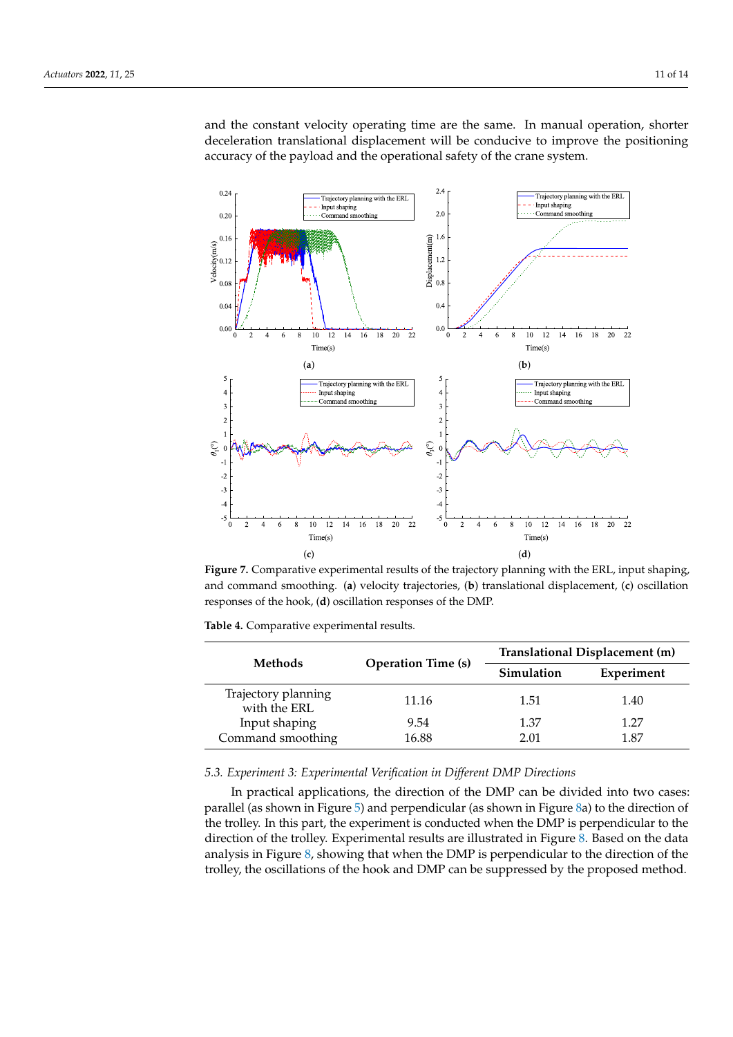and the constant velocity operating time are the same. In manual operation, shorter deceleration translational displacement will be conducive to improve the positioning accuracy of the payload and the operational safety of the crane system.

<span id="page-10-0"></span>

**Figure 7.** Comparative experimental results of the trajectory planning with the ERL, input shaping, and command smoothing. (**a**) velocity trajectories, (**b**) translational displacement, (**c**) oscillation responses of the hook, (**d**) oscillation responses of the DMP.

| <b>Methods</b>                      |                           | Translational Displacement (m) |            |  |  |
|-------------------------------------|---------------------------|--------------------------------|------------|--|--|
|                                     | <b>Operation Time (s)</b> | Simulation                     | Experiment |  |  |
| Trajectory planning<br>with the ERL | 11.16                     | 1.51                           | 1.40       |  |  |
| Input shaping                       | 9.54                      | 1.37                           | 1.27       |  |  |
| Command smoothing                   | 16.88                     | 2.01                           | 1.87       |  |  |

<span id="page-10-1"></span>**Table 4.** Comparative experimental results.

## *5.3. Experiment 3: Experimental Verification in Different DMP Directions*

In practical applications, the direction of the DMP can be divided into two cases: parallel (as shown in Figure [5\)](#page-8-0) and perpendicular (as shown in Figure [8a](#page-11-0)) to the direction of the trolley. In this part, the experiment is conducted when the DMP is perpendicular to the direction of the trolley. Experimental results are illustrated in Figure [8.](#page-11-0) Based on the data analysis in Figure [8,](#page-11-0) showing that when the DMP is perpendicular to the direction of the trolley, the oscillations of the hook and DMP can be suppressed by the proposed method.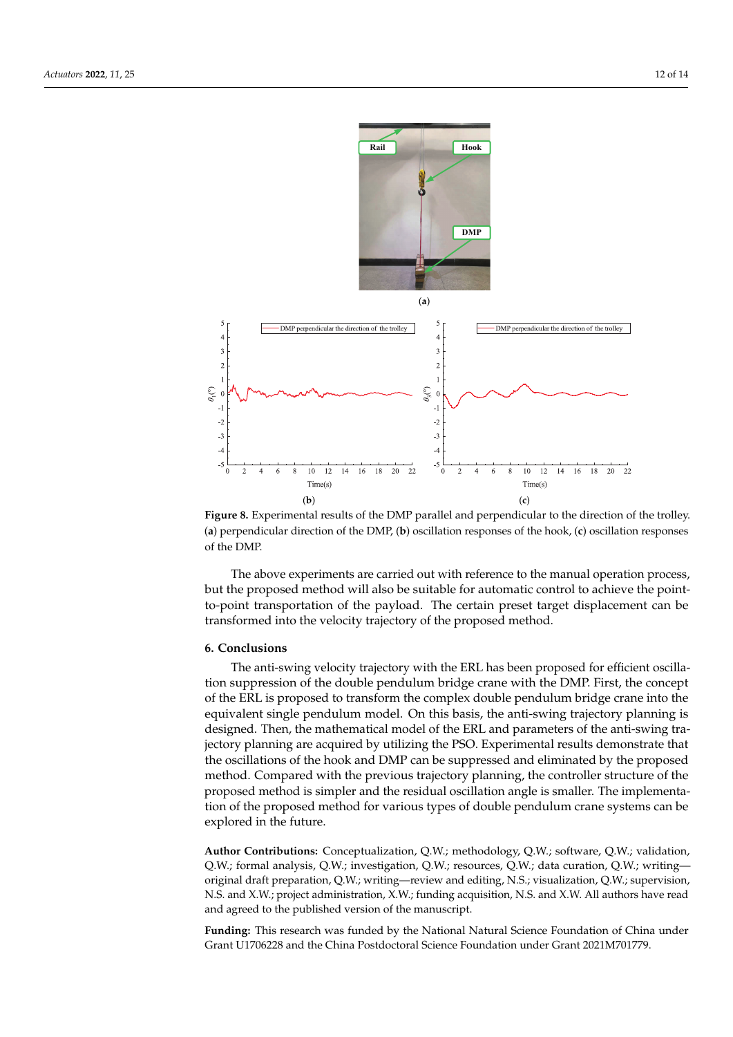<span id="page-11-0"></span>

**Figure 8.** Experimental results of the DMP parallel and perpendicular to the direction of the trolley. (**a**) perpendicular direction of the DMP, (**b**) oscillation responses of the hook, (**c**) oscillation responses of the DMP.

The above experiments are carried out with reference to the manual operation process, but the proposed method will also be suitable for automatic control to achieve the pointto-point transportation of the payload. The certain preset target displacement can be transformed into the velocity trajectory of the proposed method.

# **6. Conclusions**

The anti-swing velocity trajectory with the ERL has been proposed for efficient oscillation suppression of the double pendulum bridge crane with the DMP. First, the concept of the ERL is proposed to transform the complex double pendulum bridge crane into the equivalent single pendulum model. On this basis, the anti-swing trajectory planning is designed. Then, the mathematical model of the ERL and parameters of the anti-swing trajectory planning are acquired by utilizing the PSO. Experimental results demonstrate that the oscillations of the hook and DMP can be suppressed and eliminated by the proposed method. Compared with the previous trajectory planning, the controller structure of the proposed method is simpler and the residual oscillation angle is smaller. The implementation of the proposed method for various types of double pendulum crane systems can be explored in the future.

**Author Contributions:** Conceptualization, Q.W.; methodology, Q.W.; software, Q.W.; validation, Q.W.; formal analysis, Q.W.; investigation, Q.W.; resources, Q.W.; data curation, Q.W.; writing original draft preparation, Q.W.; writing—review and editing, N.S.; visualization, Q.W.; supervision, N.S. and X.W.; project administration, X.W.; funding acquisition, N.S. and X.W. All authors have read and agreed to the published version of the manuscript.

**Funding:** This research was funded by the National Natural Science Foundation of China under Grant U1706228 and the China Postdoctoral Science Foundation under Grant 2021M701779.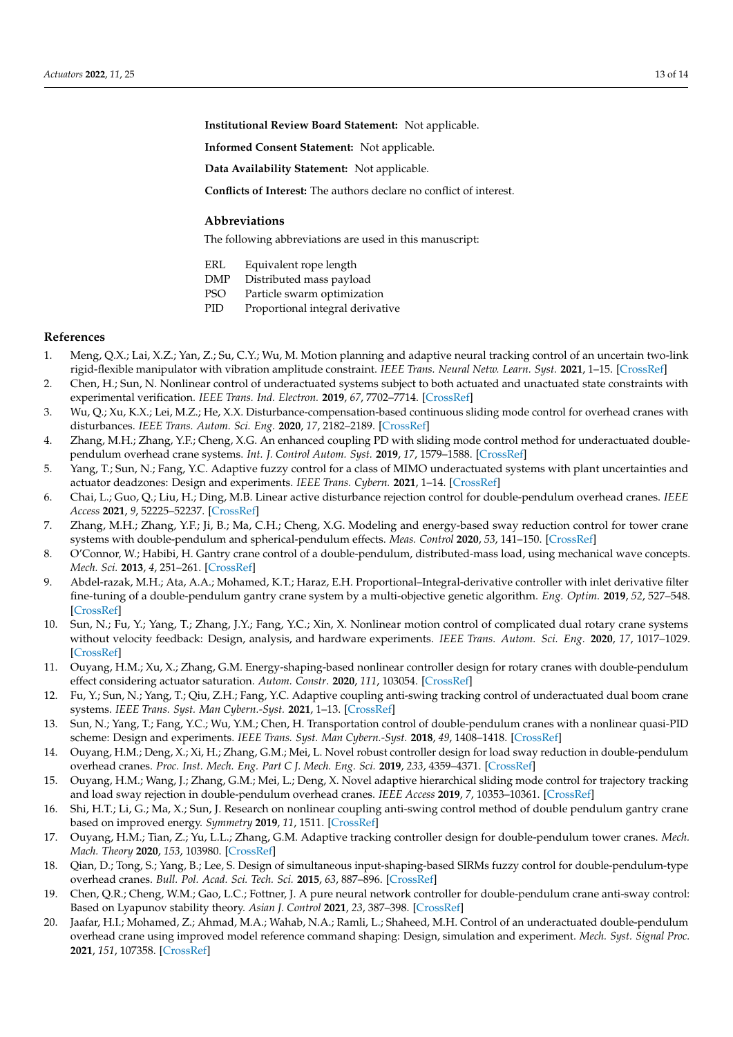**Institutional Review Board Statement:** Not applicable.

**Informed Consent Statement:** Not applicable.

**Data Availability Statement:** Not applicable.

**Conflicts of Interest:** The authors declare no conflict of interest.

#### **Abbreviations**

The following abbreviations are used in this manuscript:

- ERL Equivalent rope length
- DMP Distributed mass payload
- PSO Particle swarm optimization
- PID Proportional integral derivative

#### **References**

- <span id="page-12-0"></span>1. Meng, Q.X.; Lai, X.Z.; Yan, Z.; Su, C.Y.; Wu, M. Motion planning and adaptive neural tracking control of an uncertain two-link rigid-flexible manipulator with vibration amplitude constraint. *IEEE Trans. Neural Netw. Learn. Syst.* **2021**, 1–15. [\[CrossRef\]](http://doi.org/10.1109/TNNLS.2021.3054611)
- <span id="page-12-1"></span>2. Chen, H.; Sun, N. Nonlinear control of underactuated systems subject to both actuated and unactuated state constraints with experimental verification. *IEEE Trans. Ind. Electron.* **2019**, *67*, 7702–7714. [\[CrossRef\]](http://dx.doi.org/10.1109/TIE.2019.2946541)
- <span id="page-12-2"></span>3. Wu, Q.; Xu, K.X.; Lei, M.Z.; He, X.X. Disturbance-compensation-based continuous sliding mode control for overhead cranes with disturbances. *IEEE Trans. Autom. Sci. Eng.* **2020**, *17*, 2182–2189. [\[CrossRef\]](http://dx.doi.org/10.1109/TASE.2020.3015870)
- <span id="page-12-3"></span>4. Zhang, M.H.; Zhang, Y.F.; Cheng, X.G. An enhanced coupling PD with sliding mode control method for underactuated doublependulum overhead crane systems. *Int. J. Control Autom. Syst.* **2019**, *17*, 1579–1588. [\[CrossRef\]](http://dx.doi.org/10.1007/s12555-018-0646-0)
- 5. Yang, T.; Sun, N.; Fang, Y.C. Adaptive fuzzy control for a class of MIMO underactuated systems with plant uncertainties and actuator deadzones: Design and experiments. *IEEE Trans. Cybern.* **2021**, 1–14. [\[CrossRef\]](http://dx.doi.org/10.1109/TCYB.2021.3050475)
- <span id="page-12-4"></span>6. Chai, L.; Guo, Q.; Liu, H.; Ding, M.B. Linear active disturbance rejection control for double-pendulum overhead cranes. *IEEE Access* **2021**, *9*, 52225–52237. [\[CrossRef\]](http://dx.doi.org/10.1109/ACCESS.2021.3070048)
- <span id="page-12-5"></span>7. Zhang, M.H.; Zhang, Y.F.; Ji, B.; Ma, C.H.; Cheng, X.G. Modeling and energy-based sway reduction control for tower crane systems with double-pendulum and spherical-pendulum effects. *Meas. Control* **2020**, *53*, 141–150. [\[CrossRef\]](http://dx.doi.org/10.1177/0020294019877492)
- <span id="page-12-6"></span>8. O'Connor, W.; Habibi, H. Gantry crane control of a double-pendulum, distributed-mass load, using mechanical wave concepts. *Mech. Sci.* **2013**, *4*, 251–261. [\[CrossRef\]](http://dx.doi.org/10.5194/ms-4-251-2013)
- <span id="page-12-7"></span>9. Abdel-razak, M.H.; Ata, A.A.; Mohamed, K.T.; Haraz, E.H. Proportional–Integral-derivative controller with inlet derivative filter fine-tuning of a double-pendulum gantry crane system by a multi-objective genetic algorithm. *Eng. Optim.* **2019**, *52*, 527–548. [\[CrossRef\]](http://dx.doi.org/10.1080/0305215X.2019.1603300)
- <span id="page-12-8"></span>10. Sun, N.; Fu, Y.; Yang, T.; Zhang, J.Y.; Fang, Y.C.; Xin, X. Nonlinear motion control of complicated dual rotary crane systems without velocity feedback: Design, analysis, and hardware experiments. *IEEE Trans. Autom. Sci. Eng.* **2020**, *17*, 1017–1029. [\[CrossRef\]](http://dx.doi.org/10.1109/TASE.2019.2961258)
- 11. Ouyang, H.M.; Xu, X.; Zhang, G.M. Energy-shaping-based nonlinear controller design for rotary cranes with double-pendulum effect considering actuator saturation. *Autom. Constr*. **2020**, *111*, 103054. [\[CrossRef\]](http://dx.doi.org/10.1016/j.autcon.2019.103054)
- <span id="page-12-9"></span>12. Fu, Y.; Sun, N.; Yang, T.; Qiu, Z.H.; Fang, Y.C. Adaptive coupling anti-swing tracking control of underactuated dual boom crane systems. *IEEE Trans. Syst. Man Cybern.-Syst.* **2021**, 1–13. [\[CrossRef\]](http://dx.doi.org/10.1109/TSMC.2021.3102244)
- <span id="page-12-10"></span>13. Sun, N.; Yang, T.; Fang, Y.C.; Wu, Y.M.; Chen, H. Transportation control of double-pendulum cranes with a nonlinear quasi-PID scheme: Design and experiments. *IEEE Trans. Syst. Man Cybern.-Syst.* **2018**, *49*, 1408–1418. [\[CrossRef\]](http://dx.doi.org/10.1109/TSMC.2018.2871627)
- <span id="page-12-11"></span>14. Ouyang, H.M.; Deng, X.; Xi, H.; Zhang, G.M.; Mei, L. Novel robust controller design for load sway reduction in double-pendulum overhead cranes. *Proc. Inst. Mech. Eng. Part C J. Mech. Eng. Sci.* **2019**, *233*, 4359–4371. [\[CrossRef\]](http://dx.doi.org/10.1177/0954406218813383)
- <span id="page-12-12"></span>15. Ouyang, H.M.; Wang, J.; Zhang, G.M.; Mei, L.; Deng, X. Novel adaptive hierarchical sliding mode control for trajectory tracking and load sway rejection in double-pendulum overhead cranes. *IEEE Access* **2019**, *7*, 10353–10361. [\[CrossRef\]](http://dx.doi.org/10.1109/ACCESS.2019.2891793)
- <span id="page-12-13"></span>16. Shi, H.T.; Li, G.; Ma, X.; Sun, J. Research on nonlinear coupling anti-swing control method of double pendulum gantry crane based on improved energy. *Symmetry* **2019**, *11*, 1511. [\[CrossRef\]](http://dx.doi.org/10.3390/sym11121511)
- <span id="page-12-14"></span>17. Ouyang, H.M.; Tian, Z.; Yu, L.L.; Zhang, G.M. Adaptive tracking controller design for double-pendulum tower cranes. *Mech. Mach. Theory* **2020**, *153*, 103980. [\[CrossRef\]](http://dx.doi.org/10.1016/j.mechmachtheory.2020.103980)
- <span id="page-12-15"></span>18. Qian, D.; Tong, S.; Yang, B.; Lee, S. Design of simultaneous input-shaping-based SIRMs fuzzy control for double-pendulum-type overhead cranes. *Bull. Pol. Acad. Sci. Tech. Sci.* **2015**, *63*, 887–896. [\[CrossRef\]](http://dx.doi.org/10.1515/bpasts-2015-0101)
- <span id="page-12-16"></span>19. Chen, Q.R.; Cheng, W.M.; Gao, L.C.; Fottner, J. A pure neural network controller for double-pendulum crane anti-sway control: Based on Lyapunov stability theory. *Asian J. Control* **2021**, *23*, 387–398. [\[CrossRef\]](http://dx.doi.org/10.1002/asjc.2226)
- <span id="page-12-17"></span>20. Jaafar, H.I.; Mohamed, Z.; Ahmad, M.A.; Wahab, N.A.; Ramli, L.; Shaheed, M.H. Control of an underactuated double-pendulum overhead crane using improved model reference command shaping: Design, simulation and experiment. *Mech. Syst. Signal Proc.* **2021**, *151*, 107358. [\[CrossRef\]](http://dx.doi.org/10.1016/j.ymssp.2020.107358)